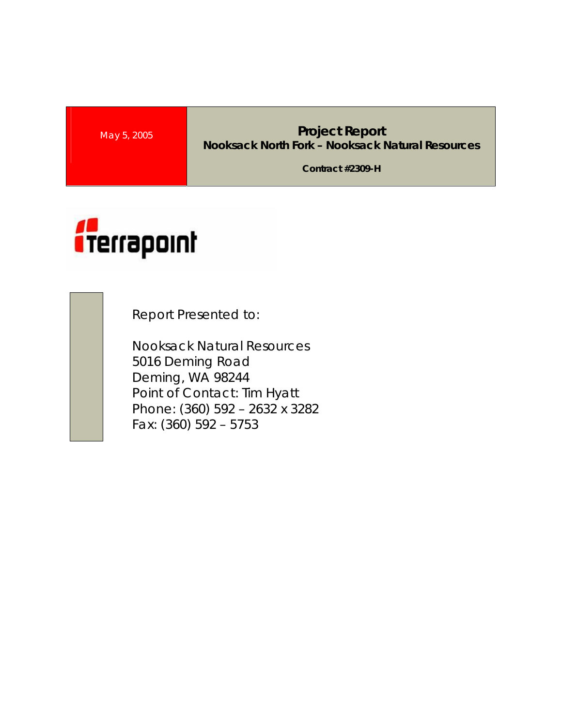## **May 5, 2005 Project Report Nooksack North Fork – Nooksack Natural Resources**

**Contract #2309-H** 



Report Presented to:

Nooksack Natural Resources 5016 Deming Road Deming, WA 98244 Point of Contact: Tim Hyatt Phone: (360) 592 – 2632 x 3282 Fax: (360) 592 – 5753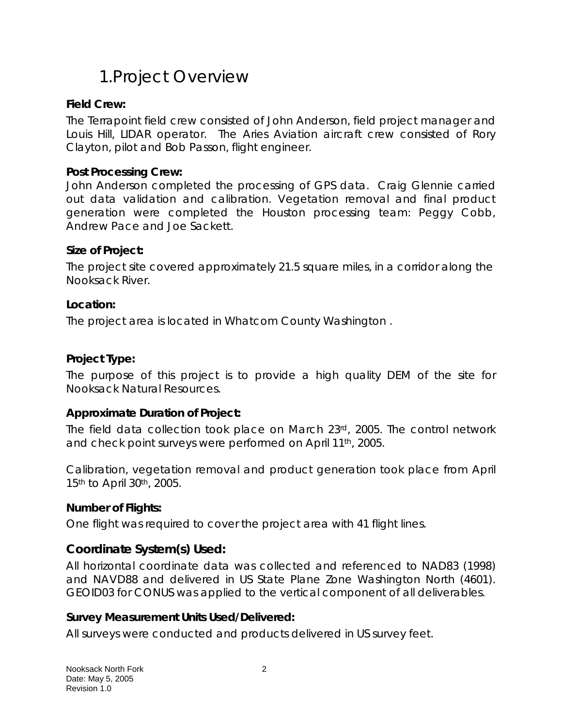# 1.Project Overview

### **Field Crew:**

The Terrapoint field crew consisted of John Anderson, field project manager and Louis Hill, LIDAR operator. The Aries Aviation aircraft crew consisted of Rory Clayton, pilot and Bob Passon, flight engineer.

#### **Post Processing Crew:**

John Anderson completed the processing of GPS data. Craig Glennie carried out data validation and calibration. Vegetation removal and final product generation were completed the Houston processing team: Peggy Cobb, Andrew Pace and Joe Sackett.

#### **Size of Project:**

The project site covered approximately 21.5 square miles, in a corridor along the Nooksack River.

#### **Location:**

The project area is located in Whatcom County Washington .

#### **Project Type:**

The purpose of this project is to provide a high quality DEM of the site for Nooksack Natural Resources.

#### **Approximate Duration of Project:**

The field data collection took place on March 23rd, 2005. The control network and check point surveys were performed on April 11th, 2005.

Calibration, vegetation removal and product generation took place from April 15<sup>th</sup> to April 30<sup>th</sup>, 2005.

#### **Number of Flights:**

One flight was required to cover the project area with 41 flight lines.

### **Coordinate System(s) Used:**

All horizontal coordinate data was collected and referenced to NAD83 (1998) and NAVD88 and delivered in US State Plane Zone Washington North (4601). GEOID03 for CONUS was applied to the vertical component of all deliverables.

#### **Survey Measurement Units Used/Delivered:**

All surveys were conducted and products delivered in US survey feet.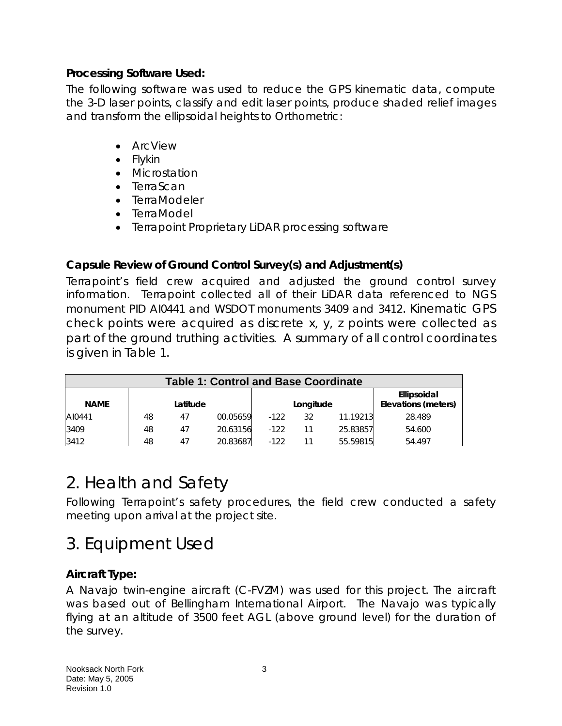### **Processing Software Used:**

The following software was used to reduce the GPS kinematic data, compute the 3-D laser points, classify and edit laser points, produce shaded relief images and transform the ellipsoidal heights to Orthometric:

- ArcView
- Flykin
- Microstation
- TerraScan
- TerraModeler
- TerraModel
- Terrapoint Proprietary LiDAR processing software

## **Capsule Review of Ground Control Survey(s) and Adjustment(s)**

Terrapoint's field crew acquired and adjusted the ground control survey information. Terrapoint collected all of their LiDAR data referenced to NGS monument PID AI0441 and WSDOT monuments 3409 and 3412. Kinematic GPS check points were acquired as discrete x, y, z points were collected as part of the ground truthing activities. A summary of all control coordinates is given in Table 1.

| <b>Table 1: Control and Base Coordinate</b> |          |    |          |           |    |          |                                    |  |
|---------------------------------------------|----------|----|----------|-----------|----|----------|------------------------------------|--|
| <b>NAME</b>                                 | Latitude |    |          | Longitude |    |          | Ellipsoidal<br>Elevations (meters) |  |
| AI0441                                      | 48       | 47 | 00.05659 | $-122$    | 32 | 11.19213 | 28.489                             |  |
| 3409                                        | 48       | 47 | 20.63156 | $-122$    |    | 25.83857 | 54.600                             |  |
| 3412                                        | 48       | 47 | 20.83687 | $-122$    |    | 55.59815 | 54.497                             |  |

## 2. Health and Safety

Following Terrapoint's safety procedures, the field crew conducted a safety meeting upon arrival at the project site.

# 3. Equipment Used

## **Aircraft Type:**

A Navajo twin-engine aircraft (C-FVZM) was used for this project. The aircraft was based out of Bellingham International Airport. The Navajo was typically flying at an altitude of 3500 feet AGL (above ground level) for the duration of the survey.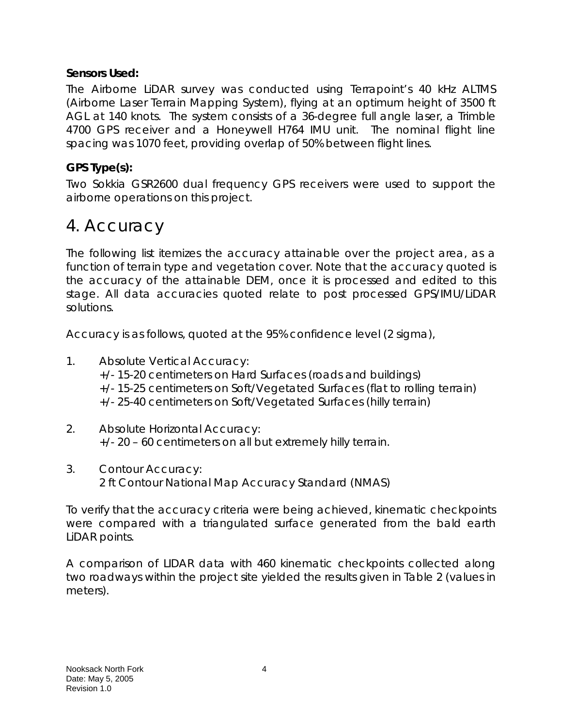### **Sensors Used:**

The Airborne LiDAR survey was conducted using Terrapoint's 40 kHz ALTMS (Airborne Laser Terrain Mapping System), flying at an optimum height of 3500 ft AGL at 140 knots. The system consists of a 36-degree full angle laser, a Trimble 4700 GPS receiver and a Honeywell H764 IMU unit. The nominal flight line spacing was 1070 feet, providing overlap of 50% between flight lines.

## **GPS Type(s):**

Two Sokkia GSR2600 dual frequency GPS receivers were used to support the airborne operations on this project.

## 4. Accuracy

The following list itemizes the accuracy attainable over the project area, as a function of terrain type and vegetation cover. Note that the accuracy quoted is the accuracy of the attainable DEM, once it is processed and edited to this stage. All data accuracies quoted relate to post processed GPS/IMU/LiDAR solutions.

Accuracy is as follows, quoted at the 95% confidence level (2 sigma),

- 1. Absolute Vertical Accuracy: +/- 15-20 centimeters on Hard Surfaces (roads and buildings) +/- 15-25 centimeters on Soft/Vegetated Surfaces (flat to rolling terrain) +/- 25-40 centimeters on Soft/Vegetated Surfaces (hilly terrain)
- 2. Absolute Horizontal Accuracy: +/- 20 – 60 centimeters on all but extremely hilly terrain.
- 3. Contour Accuracy: 2 ft Contour National Map Accuracy Standard (NMAS)

To verify that the accuracy criteria were being achieved, kinematic checkpoints were compared with a triangulated surface generated from the bald earth LiDAR points.

A comparison of LIDAR data with 460 kinematic checkpoints collected along two roadways within the project site yielded the results given in Table 2 (values in meters).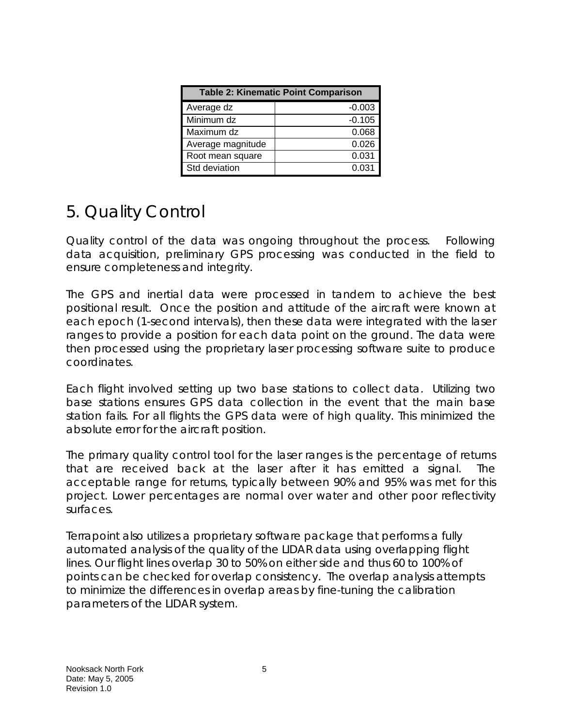| <b>Table 2: Kinematic Point Comparison</b> |          |  |  |  |  |
|--------------------------------------------|----------|--|--|--|--|
| Average dz                                 | $-0.003$ |  |  |  |  |
| Minimum dz                                 | $-0.105$ |  |  |  |  |
| Maximum dz                                 | 0.068    |  |  |  |  |
| Average magnitude                          | 0.026    |  |  |  |  |
| Root mean square                           | 0.031    |  |  |  |  |
| Std deviation                              | 0.031    |  |  |  |  |

# 5. Quality Control

Quality control of the data was ongoing throughout the process. Following data acquisition, preliminary GPS processing was conducted in the field to ensure completeness and integrity.

The GPS and inertial data were processed in tandem to achieve the best positional result. Once the position and attitude of the aircraft were known at each epoch (1-second intervals), then these data were integrated with the laser ranges to provide a position for each data point on the ground. The data were then processed using the proprietary laser processing software suite to produce coordinates.

Each flight involved setting up two base stations to collect data. Utilizing two base stations ensures GPS data collection in the event that the main base station fails. For all flights the GPS data were of high quality. This minimized the absolute error for the aircraft position.

The primary quality control tool for the laser ranges is the percentage of returns that are received back at the laser after it has emitted a signal. The acceptable range for returns, typically between 90% and 95% was met for this project. Lower percentages are normal over water and other poor reflectivity surfaces.

Terrapoint also utilizes a proprietary software package that performs a fully automated analysis of the quality of the LIDAR data using overlapping flight lines. Our flight lines overlap 30 to 50% on either side and thus 60 to 100% of points can be checked for overlap consistency. The overlap analysis attempts to minimize the differences in overlap areas by fine-tuning the calibration parameters of the LIDAR system.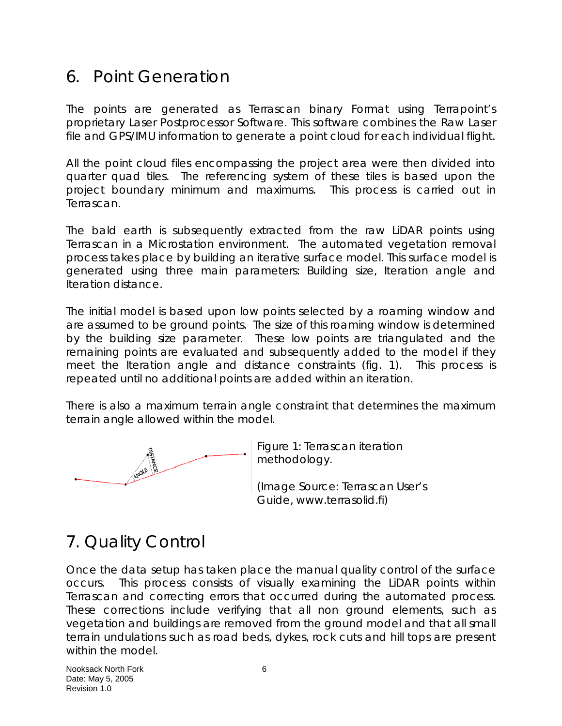## 6. Point Generation

The points are generated as Terrascan binary Format using Terrapoint's proprietary Laser Postprocessor Software. This software combines the Raw Laser file and GPS/IMU information to generate a point cloud for each individual flight.

All the point cloud files encompassing the project area were then divided into quarter quad tiles. The referencing system of these tiles is based upon the project boundary minimum and maximums. This process is carried out in Terrascan.

The bald earth is subsequently extracted from the raw LiDAR points using Terrascan in a Microstation environment. The automated vegetation removal process takes place by building an iterative surface model. This surface model is generated using three main parameters: Building size, Iteration angle and Iteration distance.

The initial model is based upon low points selected by a roaming window and are assumed to be ground points. The size of this roaming window is determined by the building size parameter. These low points are triangulated and the remaining points are evaluated and subsequently added to the model if they meet the Iteration angle and distance constraints (fig. 1). This process is repeated until no additional points are added within an iteration.

There is also a maximum terrain angle constraint that determines the maximum terrain angle allowed within the model.



Figure 1: Terrascan iteration methodology.

(Image Source: Terrascan User's Guide, www.terrasolid.fi)

# 7. Quality Control

Once the data setup has taken place the manual quality control of the surface occurs. This process consists of visually examining the LiDAR points within Terrascan and correcting errors that occurred during the automated process. These corrections include verifying that all non ground elements, such as vegetation and buildings are removed from the ground model and that all small terrain undulations such as road beds, dykes, rock cuts and hill tops are present within the model.

Nooksack North Fork 6 Date: May 5, 2005 Revision 1.0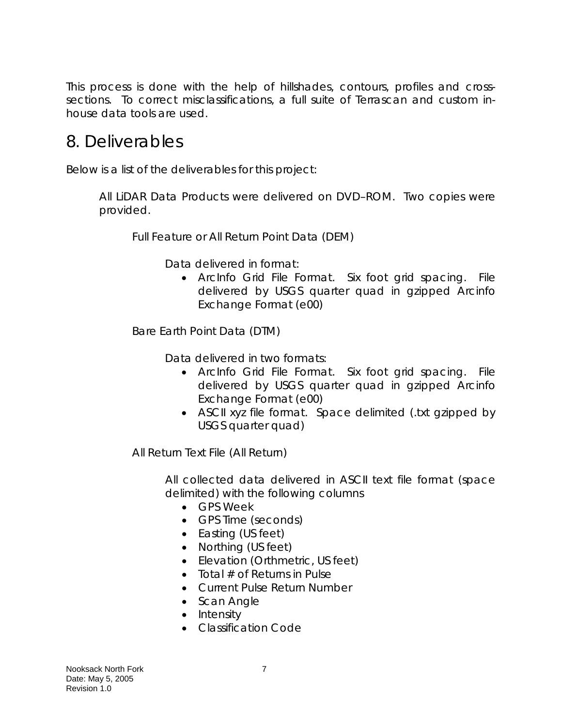This process is done with the help of hillshades, contours, profiles and crosssections. To correct misclassifications, a full suite of Terrascan and custom inhouse data tools are used.

## 8. Deliverables

Below is a list of the deliverables for this project:

All LiDAR Data Products were delivered on DVD–ROM. Two copies were provided.

Full Feature or All Return Point Data (DEM)

Data delivered in format:

• ArcInfo Grid File Format. Six foot grid spacing. File delivered by USGS quarter quad in gzipped Arcinfo Exchange Format (e00)

Bare Earth Point Data (DTM)

Data delivered in two formats:

- ArcInfo Grid File Format. Six foot grid spacing. File delivered by USGS quarter quad in gzipped Arcinfo Exchange Format (e00)
- ASCII xyz file format. Space delimited (.txt gzipped by USGS quarter quad)

All Return Text File (All Return)

All collected data delivered in ASCII text file format (space delimited) with the following columns

- GPS Week
- GPS Time (seconds)
- Easting (US feet)
- Northing (US feet)
- Elevation (Orthmetric, US feet)
- Total  $#$  of Returns in Pulse
- Current Pulse Return Number
- Scan Angle
- Intensity
- Classification Code